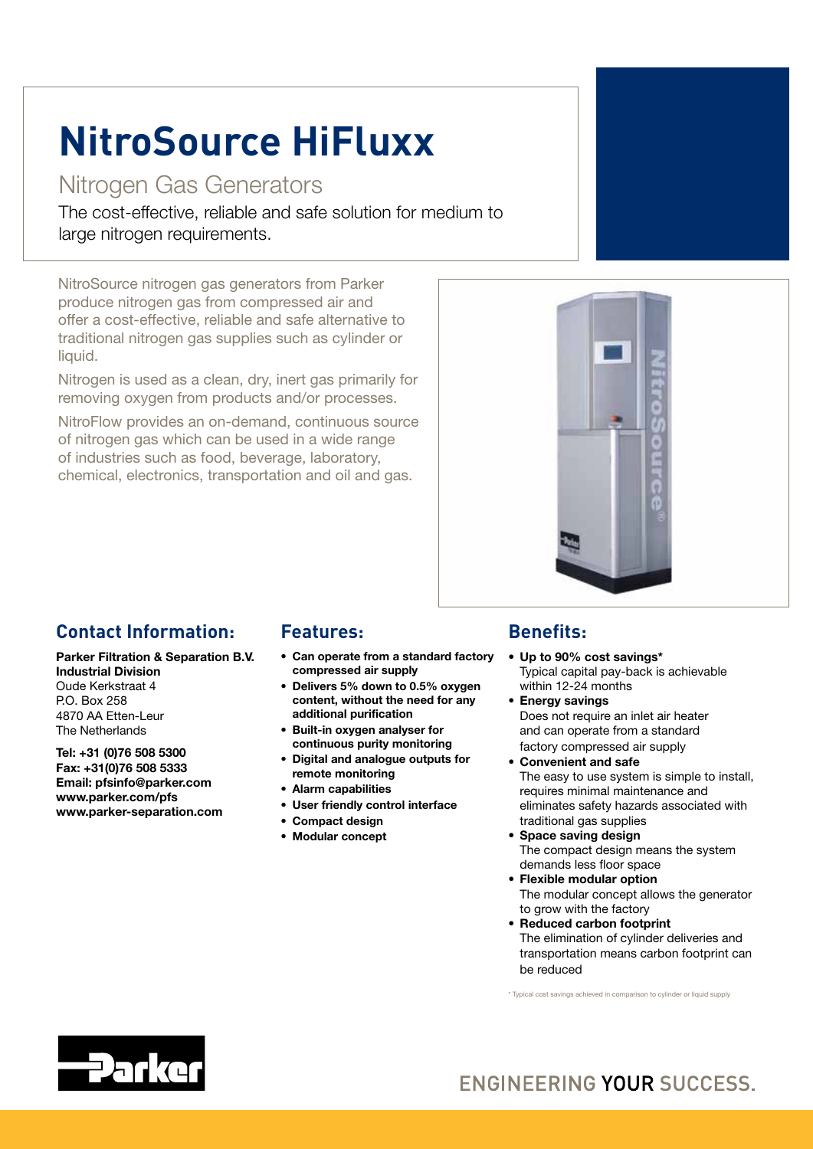# **NitroSource HiFluxx**

# Nitrogen Gas Generators

The cost-effective, reliable and safe solution for medium to large nitrogen requirements.

NitroSource nitrogen gas generators from Parker produce nitrogen gas from compressed air and offer a cost-effective, reliable and safe alternative to traditional nitrogen gas supplies such as cylinder or liquid.

Nitrogen is used as a clean, dry, inert gas primarily for removing oxygen from products and/or processes.

NitroFlow provides an on-demand, continuous source of nitrogen gas which can be used in a wide range of industries such as food, beverage, laboratory, chemical, electronics, transportation and oil and gas.



## **Contact Information:**

Parker Filtration & Separation B.V. Industrial Division Oude Kerkstraat 4 P.O. Box 258

4870 AA Etten-Leur The Netherlands

Tel: +31 (0)76 508 5300 Fax: +31(0)76 508 5333 Email: pfsinfo@parker.com www.parker.com/pfs www.parker-separation.com

### **Features:**

- Can operate from a standard factory compressed air supply
- Delivers 5% down to 0.5% oxygen content, without the need for any additional purification
- • Built-in oxygen analyser for continuous purity monitoring
- • Digital and analogue outputs for remote monitoring
- Alarm capabilities
- • User friendly control interface
- • Compact design
- • Modular concept

## **Benefits:**

- Up to 90% cost savings\* Typical capital pay-back is achievable within 12-24 months
- Energy savings Does not require an inlet air heater and can operate from a standard factory compressed air supply
- • Convenient and safe The easy to use system is simple to install,

requires minimal maintenance and eliminates safety hazards associated with traditional gas supplies

- • Space saving design The compact design means the system demands less floor space
- • Flexible modular option The modular concept allows the generator to grow with the factory
- • Reduced carbon footprint The elimination of cylinder deliveries and transportation means carbon footprint can be reduced

\* Typical cost savings achieved in comparison to cylinder or liquid supply



# ENGINEERING YOUR SUCCESS.